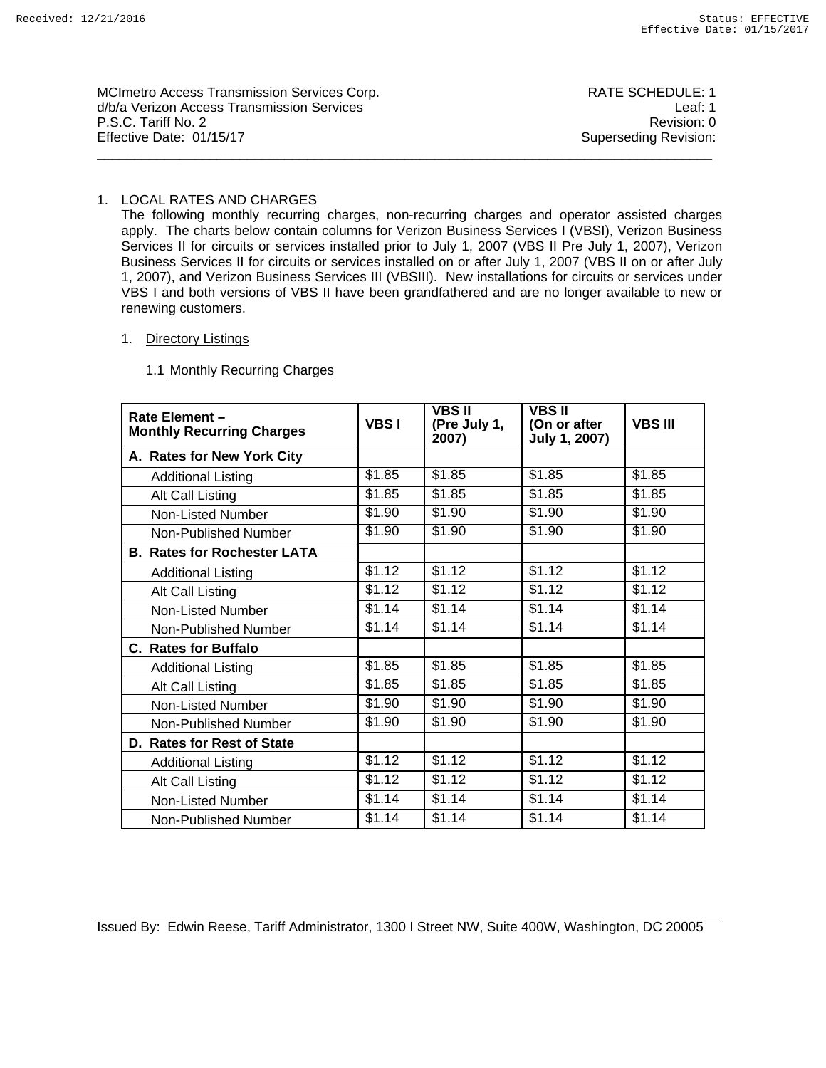| <b>MCImetro Access Transmission Services Corp.</b><br>d/b/a Verizon Access Transmission Services<br>P.S.C. Tariff No. 2<br>Effective Date: 01/15/17 | RATE SCHEDULE: 1<br>Leaf: 1<br>Revision: 0 |
|-----------------------------------------------------------------------------------------------------------------------------------------------------|--------------------------------------------|
|                                                                                                                                                     | Superseding Revision:                      |

## 1. LOCAL RATES AND CHARGES

The following monthly recurring charges, non-recurring charges and operator assisted charges apply. The charts below contain columns for Verizon Business Services I (VBSI), Verizon Business Services II for circuits or services installed prior to July 1, 2007 (VBS II Pre July 1, 2007), Verizon Business Services II for circuits or services installed on or after July 1, 2007 (VBS II on or after July 1, 2007), and Verizon Business Services III (VBSIII). New installations for circuits or services under VBS I and both versions of VBS II have been grandfathered and are no longer available to new or renewing customers.

#### 1. Directory Listings

### 1.1 Monthly Recurring Charges

| Rate Element -<br><b>Monthly Recurring Charges</b> | <b>VBS1</b> | <b>VBS II</b><br>(Pre July 1,<br>2007) | <b>VBS II</b><br>(On or after<br>July 1, 2007) | <b>VBS III</b> |
|----------------------------------------------------|-------------|----------------------------------------|------------------------------------------------|----------------|
| A. Rates for New York City                         |             |                                        |                                                |                |
| <b>Additional Listing</b>                          | \$1.85      | \$1.85                                 | \$1.85                                         | \$1.85         |
| Alt Call Listing                                   | \$1.85      | \$1.85                                 | \$1.85                                         | \$1.85         |
| Non-Listed Number                                  | \$1.90      | \$1.90                                 | \$1.90                                         | \$1.90         |
| Non-Published Number                               | \$1.90      | \$1.90                                 | \$1.90                                         | \$1.90         |
| <b>B. Rates for Rochester LATA</b>                 |             |                                        |                                                |                |
| <b>Additional Listing</b>                          | \$1.12      | \$1.12                                 | \$1.12                                         | \$1.12         |
| Alt Call Listing                                   | \$1.12      | \$1.12                                 | \$1.12                                         | \$1.12         |
| Non-Listed Number                                  | \$1.14      | \$1.14                                 | \$1.14                                         | \$1.14         |
| Non-Published Number                               | \$1.14      | \$1.14                                 | \$1.14                                         | \$1.14         |
| <b>C. Rates for Buffalo</b>                        |             |                                        |                                                |                |
| <b>Additional Listing</b>                          | \$1.85      | \$1.85                                 | \$1.85                                         | \$1.85         |
| Alt Call Listing                                   | \$1.85      | \$1.85                                 | \$1.85                                         | \$1.85         |
| Non-Listed Number                                  | \$1.90      | \$1.90                                 | \$1.90                                         | \$1.90         |
| Non-Published Number                               | \$1.90      | \$1.90                                 | \$1.90                                         | \$1.90         |
| D. Rates for Rest of State                         |             |                                        |                                                |                |
| <b>Additional Listing</b>                          | \$1.12      | \$1.12                                 | \$1.12                                         | \$1.12         |
| Alt Call Listing                                   | \$1.12      | \$1.12                                 | \$1.12                                         | \$1.12         |
| Non-Listed Number                                  | \$1.14      | \$1.14                                 | \$1.14                                         | \$1.14         |
| Non-Published Number                               | \$1.14      | \$1.14                                 | \$1.14                                         | \$1.14         |

Issued By: Edwin Reese, Tariff Administrator, 1300 I Street NW, Suite 400W, Washington, DC 20005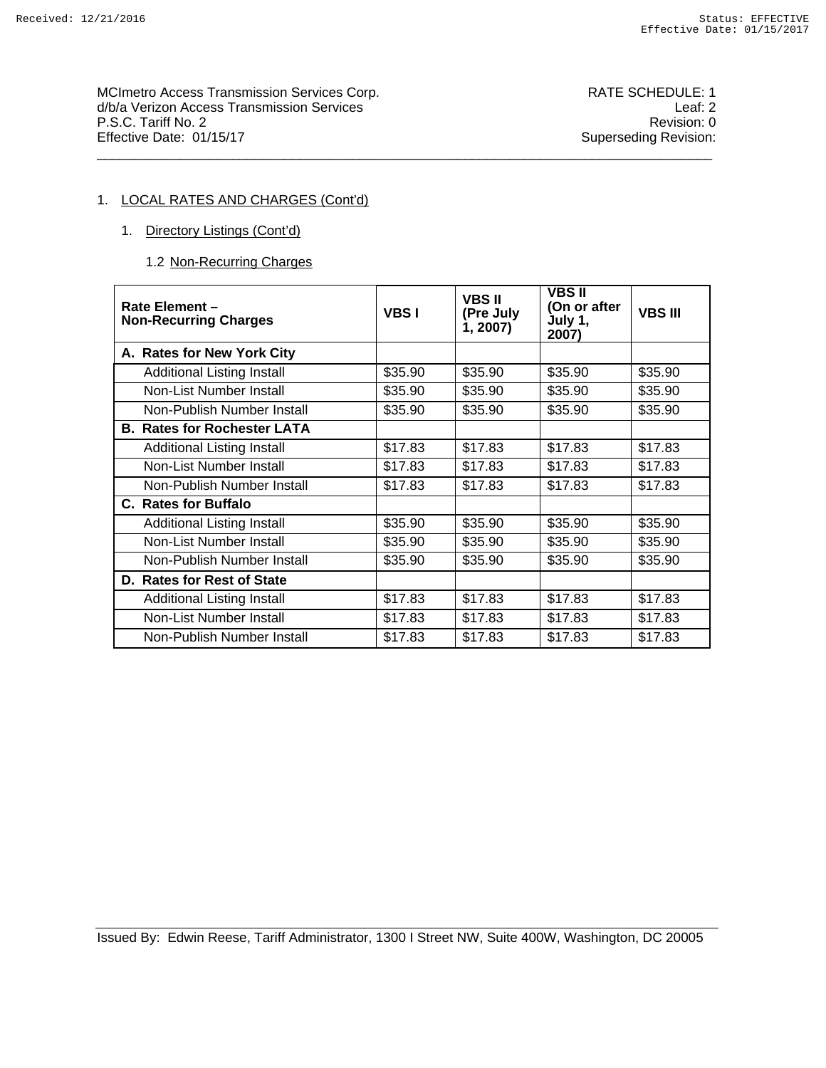MCImetro Access Transmission Services Corp. Noting the SCHEDULE: 1 d/b/a Verizon Access Transmission Services Leaf: 2 P.S.C. Tariff No. 2 Revision: 0<br>
Effective Date: 01/15/17 Superseding Revision: 0 \_\_\_\_\_\_\_\_\_\_\_\_\_\_\_\_\_\_\_\_\_\_\_\_\_\_\_\_\_\_\_\_\_\_\_\_\_\_\_\_\_\_\_\_\_\_\_\_\_\_\_\_\_\_\_\_\_\_\_\_\_\_\_\_\_\_\_\_\_\_\_\_\_\_\_\_\_\_\_\_\_\_

Superseding Revision:

# 1. LOCAL RATES AND CHARGES (Cont'd)

- 1. Directory Listings (Cont'd)
	- 1.2 Non-Recurring Charges

| Rate Element-<br><b>Non-Recurring Charges</b> | <b>VBSI</b> | <b>VBS II</b><br>(Pre July<br>1, 2007) | <b>VBS II</b><br>(On or after<br>July 1,<br>2007) | <b>VBS III</b> |
|-----------------------------------------------|-------------|----------------------------------------|---------------------------------------------------|----------------|
| A. Rates for New York City                    |             |                                        |                                                   |                |
| Additional Listing Install                    | \$35.90     | \$35.90                                | \$35.90                                           | \$35.90        |
| Non-List Number Install                       | \$35.90     | \$35.90                                | \$35.90                                           | \$35.90        |
| Non-Publish Number Install                    | \$35.90     | \$35.90                                | \$35.90                                           | \$35.90        |
| <b>B. Rates for Rochester LATA</b>            |             |                                        |                                                   |                |
| Additional Listing Install                    | \$17.83     | \$17.83                                | \$17.83                                           | \$17.83        |
| Non-List Number Install                       | \$17.83     | \$17.83                                | \$17.83                                           | \$17.83        |
| Non-Publish Number Install                    | \$17.83     | \$17.83                                | \$17.83                                           | \$17.83        |
| C. Rates for Buffalo                          |             |                                        |                                                   |                |
| Additional Listing Install                    | \$35.90     | \$35.90                                | \$35.90                                           | \$35.90        |
| Non-List Number Install                       | \$35.90     | \$35.90                                | \$35.90                                           | \$35.90        |
| Non-Publish Number Install                    | \$35.90     | \$35.90                                | \$35.90                                           | \$35.90        |
| D. Rates for Rest of State                    |             |                                        |                                                   |                |
| Additional Listing Install                    | \$17.83     | \$17.83                                | \$17.83                                           | \$17.83        |
| Non-List Number Install                       | \$17.83     | \$17.83                                | \$17.83                                           | \$17.83        |
| Non-Publish Number Install                    | \$17.83     | \$17.83                                | \$17.83                                           | \$17.83        |

Issued By: Edwin Reese, Tariff Administrator, 1300 I Street NW, Suite 400W, Washington, DC 20005